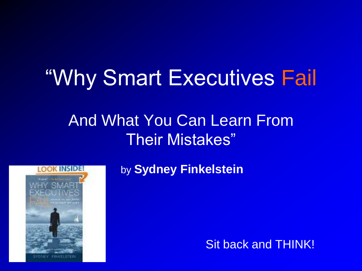### "Why Smart Executives Fail

### And What You Can Learn From Their Mistakes"



by **Sydney Finkelstein**

Sit back and THINK!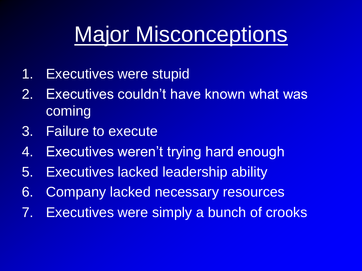## Major Misconceptions

- 1. Executives were stupid
- 2. Executives couldn't have known what was coming
- 3. Failure to execute
- 4. Executives weren't trying hard enough
- 5. Executives lacked leadership ability
- 6. Company lacked necessary resources
- 7. Executives were simply a bunch of crooks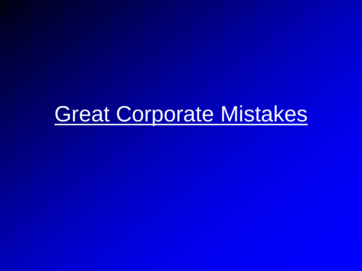### Great Corporate Mistakes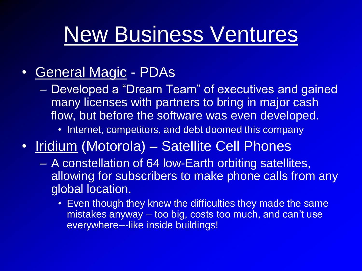## New Business Ventures

#### • General Magic - PDAs

- Developed a "Dream Team" of executives and gained many licenses with partners to bring in major cash flow, but before the software was even developed.
	- Internet, competitors, and debt doomed this company
- Iridium (Motorola) Satellite Cell Phones
	- A constellation of 64 low-Earth orbiting satellites, allowing for subscribers to make phone calls from any global location.
		- Even though they knew the difficulties they made the same mistakes anyway – too big, costs too much, and can't use everywhere---like inside buildings!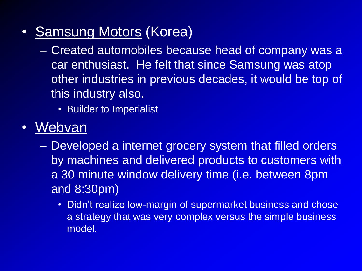- Samsung Motors (Korea)
	- Created automobiles because head of company was a car enthusiast. He felt that since Samsung was atop other industries in previous decades, it would be top of this industry also.
		- Builder to Imperialist
- Webvan
	- Developed a internet grocery system that filled orders by machines and delivered products to customers with a 30 minute window delivery time (i.e. between 8pm and 8:30pm)
		- Didn't realize low-margin of supermarket business and chose a strategy that was very complex versus the simple business model.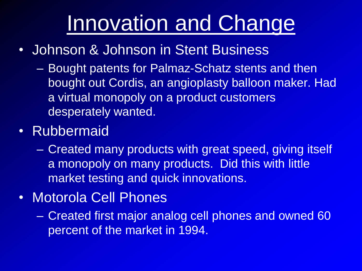## Innovation and Change

- Johnson & Johnson in Stent Business
	- Bought patents for Palmaz-Schatz stents and then bought out Cordis, an angioplasty balloon maker. Had a virtual monopoly on a product customers desperately wanted.
- Rubbermaid
	- Created many products with great speed, giving itself a monopoly on many products. Did this with little market testing and quick innovations.
- Motorola Cell Phones
	- Created first major analog cell phones and owned 60 percent of the market in 1994.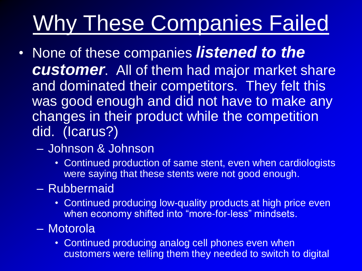# Why These Companies Failed

- None of these companies *listened to the customer*. All of them had major market share and dominated their competitors. They felt this was good enough and did not have to make any changes in their product while the competition did. (Icarus?)
	- Johnson & Johnson
		- Continued production of same stent, even when cardiologists were saying that these stents were not good enough.
	- Rubbermaid
		- Continued producing low-quality products at high price even when economy shifted into "more-for-less" mindsets.
	- Motorola
		- Continued producing analog cell phones even when customers were telling them they needed to switch to digital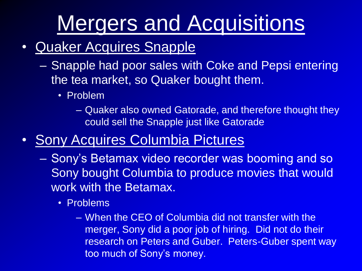# Mergers and Acquisitions

#### • Quaker Acquires Snapple

- Snapple had poor sales with Coke and Pepsi entering the tea market, so Quaker bought them.
	- Problem
		- Quaker also owned Gatorade, and therefore thought they could sell the Snapple just like Gatorade

#### • Sony Acquires Columbia Pictures

- Sony's Betamax video recorder was booming and so Sony bought Columbia to produce movies that would work with the Betamax.
	- Problems
		- When the CEO of Columbia did not transfer with the merger, Sony did a poor job of hiring. Did not do their research on Peters and Guber. Peters-Guber spent way too much of Sony's money.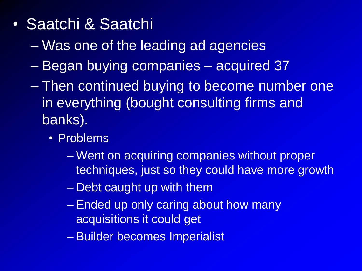- Saatchi & Saatchi
	- Was one of the leading ad agencies
	- Began buying companies acquired 37
	- Then continued buying to become number one in everything (bought consulting firms and banks).
		- Problems
			- Went on acquiring companies without proper techniques, just so they could have more growth
			- Debt caught up with them
			- Ended up only caring about how many acquisitions it could get
			- Builder becomes Imperialist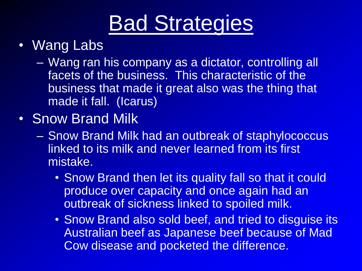## Bad Strategies

#### **Wang Labs**

- Wang ran his company as a dictator, controlling all facets of the business. This characteristic of the business that made it great also was the thing that made it fall. (Icarus)
- Snow Brand Milk
	- Snow Brand Milk had an outbreak of staphylococcus linked to its milk and never learned from its first mistake.
		- Snow Brand then let its quality fall so that it could produce over capacity and once again had an outbreak of sickness linked to spoiled milk.
		- Snow Brand also sold beef, and tried to disguise its Australian beef as Japanese beef because of Mad Cow disease and pocketed the difference.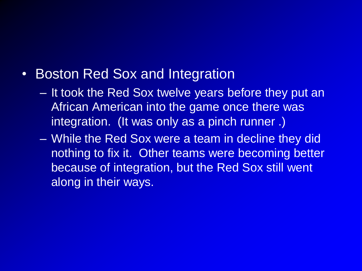#### • Boston Red Sox and Integration

- It took the Red Sox twelve years before they put an African American into the game once there was integration. (It was only as a pinch runner .)
- While the Red Sox were a team in decline they did nothing to fix it. Other teams were becoming better because of integration, but the Red Sox still went along in their ways.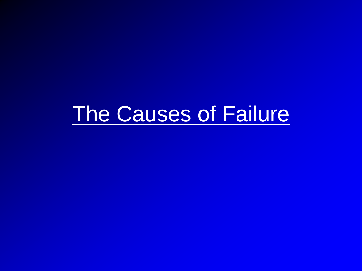# The Causes of Failure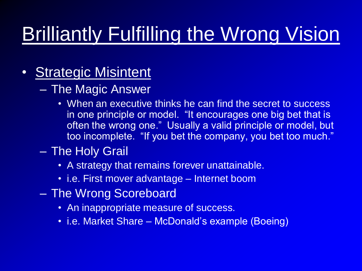## Brilliantly Fulfilling the Wrong Vision

#### • Strategic Misintent

- The Magic Answer
	- When an executive thinks he can find the secret to success in one principle or model. "It encourages one big bet that is often the wrong one." Usually a valid principle or model, but too incomplete. "If you bet the company, you bet too much."
- The Holy Grail
	- A strategy that remains forever unattainable.
	- i.e. First mover advantage Internet boom
- The Wrong Scoreboard
	- An inappropriate measure of success.
	- i.e. Market Share McDonald's example (Boeing)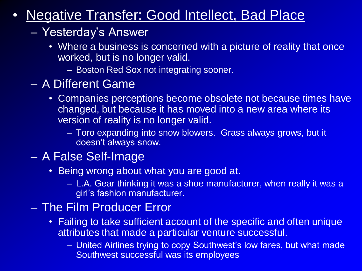#### • Negative Transfer: Good Intellect, Bad Place

#### – Yesterday's Answer

- Where a business is concerned with a picture of reality that once worked, but is no longer valid.
	- Boston Red Sox not integrating sooner.
- A Different Game
	- Companies perceptions become obsolete not because times have changed, but because it has moved into a new area where its version of reality is no longer valid.
		- Toro expanding into snow blowers. Grass always grows, but it doesn't always snow.

#### – A False Self-Image

- Being wrong about what you are good at.
	- L.A. Gear thinking it was a shoe manufacturer, when really it was a girl's fashion manufacturer.

#### – The Film Producer Error

- Failing to take sufficient account of the specific and often unique attributes that made a particular venture successful.
	- United Airlines trying to copy Southwest's low fares, but what made Southwest successful was its employees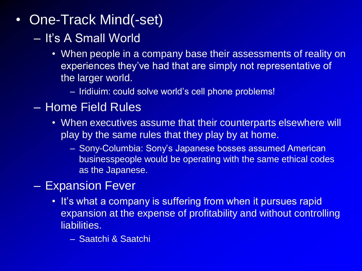- One-Track Mind(-set)
	- It's A Small World
		- When people in a company base their assessments of reality on experiences they've had that are simply not representative of the larger world.
			- Iridiuim: could solve world's cell phone problems!
	- Home Field Rules
		- When executives assume that their counterparts elsewhere will play by the same rules that they play by at home.
			- Sony-Columbia: Sony's Japanese bosses assumed American businesspeople would be operating with the same ethical codes as the Japanese.

#### – Expansion Fever

- It's what a company is suffering from when it pursues rapid expansion at the expense of profitability and without controlling liabilities.
	- Saatchi & Saatchi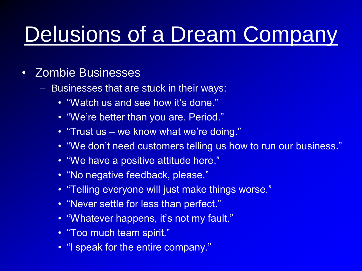# Delusions of a Dream Company

#### • Zombie Businesses

- Businesses that are stuck in their ways:
	- "Watch us and see how it's done."
	- "We're better than you are. Period."
	- "Trust us we know what we're doing."
	- "We don't need customers telling us how to run our business."
	- "We have a positive attitude here."
	- "No negative feedback, please."
	- "Telling everyone will just make things worse."
	- "Never settle for less than perfect."
	- "Whatever happens, it's not my fault."
	- "Too much team spirit."
	- "I speak for the entire company."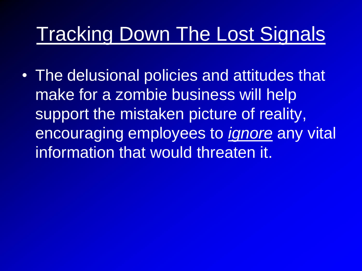### Tracking Down The Lost Signals

• The delusional policies and attitudes that make for a zombie business will help support the mistaken picture of reality, encouraging employees to *ignore* any vital information that would threaten it.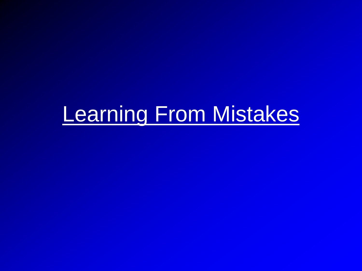## Learning From Mistakes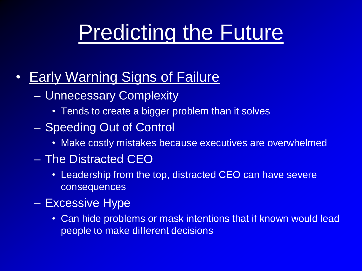# Predicting the Future

- Early Warning Signs of Failure
	- Unnecessary Complexity
		- Tends to create a bigger problem than it solves
	- Speeding Out of Control
		- Make costly mistakes because executives are overwhelmed
	- The Distracted CEO
		- Leadership from the top, distracted CEO can have severe consequences
	- Excessive Hype
		- Can hide problems or mask intentions that if known would lead people to make different decisions